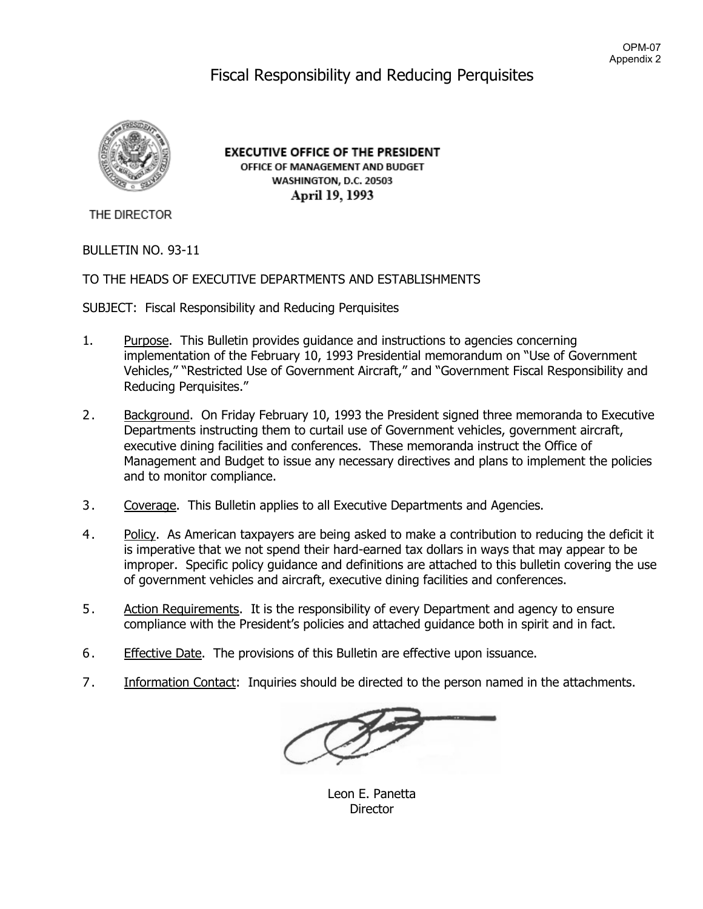# Fiscal Responsibility and Reducing Perquisites



**EXECUTIVE OFFICE OF THE PRESIDENT** OFFICE OF MANAGEMENT AND BUDGET WASHINGTON, D.C. 20503 April 19, 1993

THE DIRECTOR

## BULLETIN NO. 93-11

## TO THE HEADS OF EXECUTIVE DEPARTMENTS AND ESTABLISHMENTS

SUBJECT: Fiscal Responsibility and Reducing Perquisites

- 1. Purpose. This Bulletin provides guidance and instructions to agencies concerning implementation of the February 10, 1993 Presidential memorandum on "Use of Government Vehicles," "Restricted Use of Government Aircraft," and "Government Fiscal Responsibility and Reducing Perquisites."
- 2. Background. On Friday February 10, 1993 the President signed three memoranda to Executive Departments instructing them to curtail use of Government vehicles, government aircraft, executive dining facilities and conferences. These memoranda instruct the Office of Management and Budget to issue any necessary directives and plans to implement the policies and to monitor compliance.
- 3. Coverage. This Bulletin applies to all Executive Departments and Agencies.
- 4. Policy. As American taxpayers are being asked to make a contribution to reducing the deficit it is imperative that we not spend their hard-earned tax dollars in ways that may appear to be improper. Specific policy guidance and definitions are attached to this bulletin covering the use of government vehicles and aircraft, executive dining facilities and conferences.
- 5. Action Requirements. It is the responsibility of every Department and agency to ensure compliance with the President's policies and attached guidance both in spirit and in fact.
- 6. Effective Date. The provisions of this Bulletin are effective upon issuance.
- 7. Information Contact: Inquiries should be directed to the person named in the attachments.

Leon E. Panetta **Director**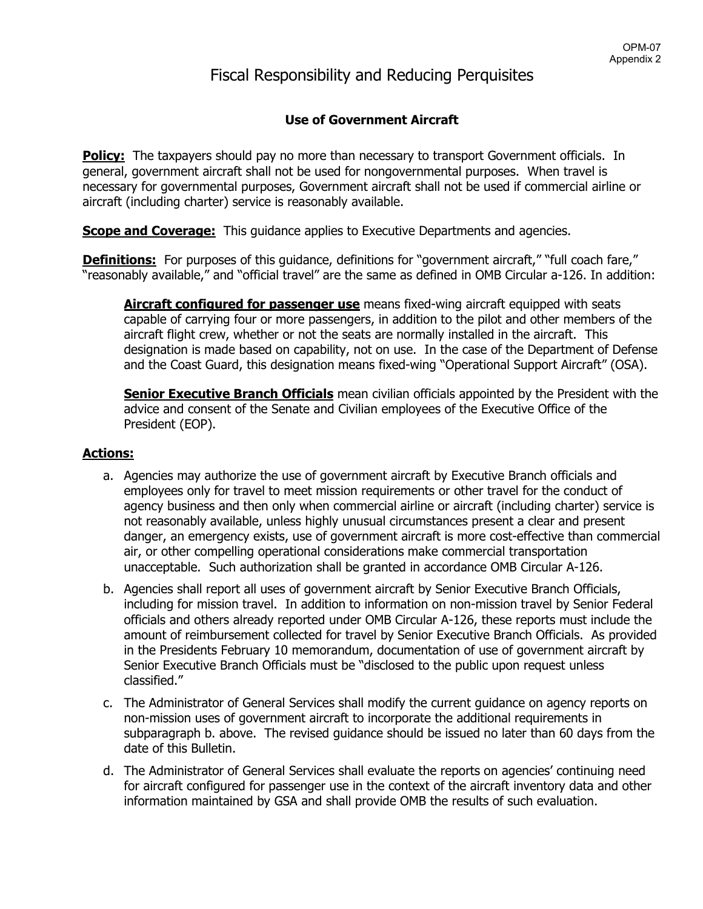## Fiscal Responsibility and Reducing Perquisites

## **Use of Government Aircraft**

**Policy:** The taxpayers should pay no more than necessary to transport Government officials. In general, government aircraft shall not be used for nongovernmental purposes. When travel is necessary for governmental purposes, Government aircraft shall not be used if commercial airline or aircraft (including charter) service is reasonably available.

**Scope and Coverage:** This guidance applies to Executive Departments and agencies.

**Definitions:** For purposes of this quidance, definitions for "government aircraft," "full coach fare," "reasonably available," and "official travel" are the same as defined in OMB Circular a-126. In addition:

**Aircraft configured for passenger use** means fixed-wing aircraft equipped with seats capable of carrying four or more passengers, in addition to the pilot and other members of the aircraft flight crew, whether or not the seats are normally installed in the aircraft. This designation is made based on capability, not on use. In the case of the Department of Defense and the Coast Guard, this designation means fixed-wing "Operational Support Aircraft" (OSA).

**Senior Executive Branch Officials** mean civilian officials appointed by the President with the advice and consent of the Senate and Civilian employees of the Executive Office of the President (EOP).

## **Actions:**

- a. Agencies may authorize the use of government aircraft by Executive Branch officials and employees only for travel to meet mission requirements or other travel for the conduct of agency business and then only when commercial airline or aircraft (including charter) service is not reasonably available, unless highly unusual circumstances present a clear and present danger, an emergency exists, use of government aircraft is more cost-effective than commercial air, or other compelling operational considerations make commercial transportation unacceptable. Such authorization shall be granted in accordance OMB Circular A-126.
- b. Agencies shall report all uses of government aircraft by Senior Executive Branch Officials, including for mission travel. In addition to information on non-mission travel by Senior Federal officials and others already reported under OMB Circular A-126, these reports must include the amount of reimbursement collected for travel by Senior Executive Branch Officials. As provided in the Presidents February 10 memorandum, documentation of use of government aircraft by Senior Executive Branch Officials must be "disclosed to the public upon request unless classified."
- c. The Administrator of General Services shall modify the current guidance on agency reports on non-mission uses of government aircraft to incorporate the additional requirements in subparagraph b. above. The revised guidance should be issued no later than 60 days from the date of this Bulletin.
- d. The Administrator of General Services shall evaluate the reports on agencies' continuing need for aircraft configured for passenger use in the context of the aircraft inventory data and other information maintained by GSA and shall provide OMB the results of such evaluation.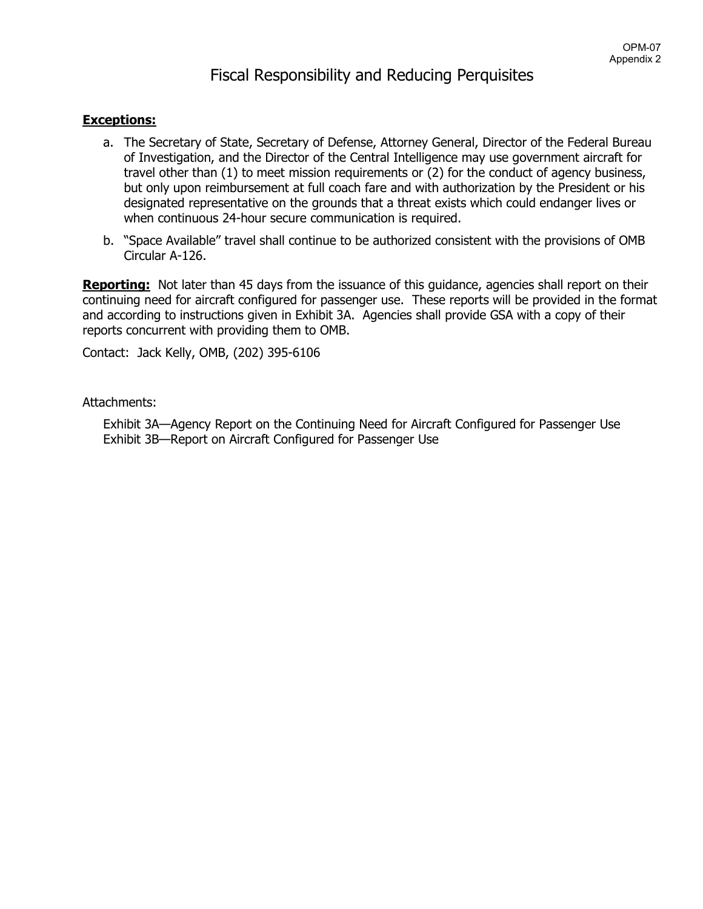## **Exceptions:**

- a. The Secretary of State, Secretary of Defense, Attorney General, Director of the Federal Bureau of Investigation, and the Director of the Central Intelligence may use government aircraft for travel other than (1) to meet mission requirements or (2) for the conduct of agency business, but only upon reimbursement at full coach fare and with authorization by the President or his designated representative on the grounds that a threat exists which could endanger lives or when continuous 24-hour secure communication is required.
- b. "Space Available" travel shall continue to be authorized consistent with the provisions of OMB Circular A-126.

**Reporting:** Not later than 45 days from the issuance of this guidance, agencies shall report on their continuing need for aircraft configured for passenger use. These reports will be provided in the format and according to instructions given in Exhibit 3A. Agencies shall provide GSA with a copy of their reports concurrent with providing them to OMB.

Contact: Jack Kelly, OMB, (202) 395-6106

## Attachments:

Exhibit 3A—Agency Report on the Continuing Need for Aircraft Configured for Passenger Use Exhibit 3B—Report on Aircraft Configured for Passenger Use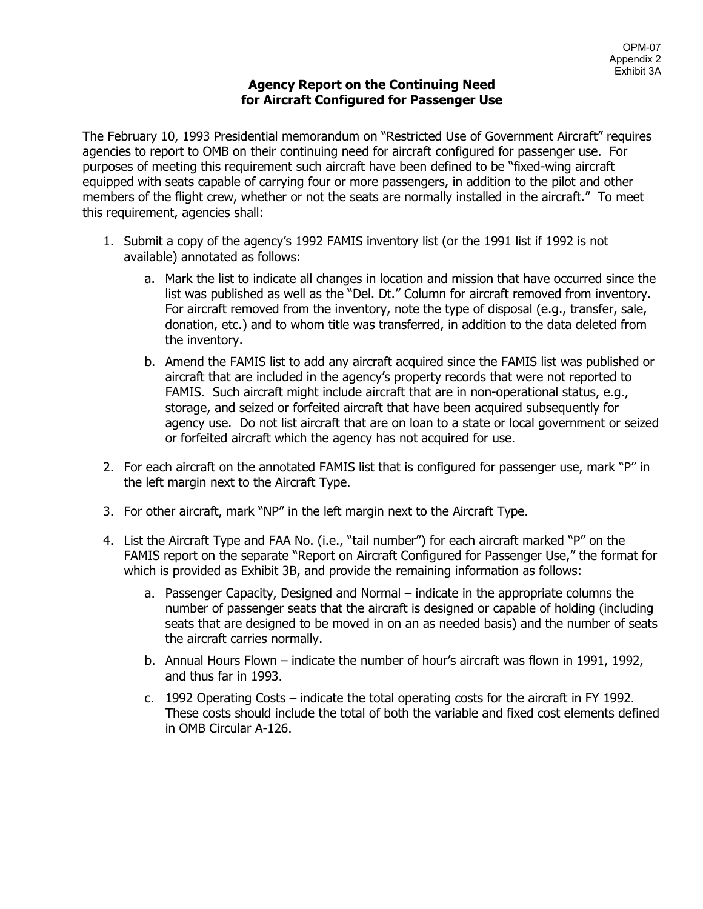## **Agency Report on the Continuing Need for Aircraft Configured for Passenger Use**

The February 10, 1993 Presidential memorandum on "Restricted Use of Government Aircraft" requires agencies to report to OMB on their continuing need for aircraft configured for passenger use. For purposes of meeting this requirement such aircraft have been defined to be "fixed-wing aircraft equipped with seats capable of carrying four or more passengers, in addition to the pilot and other members of the flight crew, whether or not the seats are normally installed in the aircraft." To meet this requirement, agencies shall:

- 1. Submit a copy of the agency's 1992 FAMIS inventory list (or the 1991 list if 1992 is not available) annotated as follows:
	- a. Mark the list to indicate all changes in location and mission that have occurred since the list was published as well as the "Del. Dt." Column for aircraft removed from inventory. For aircraft removed from the inventory, note the type of disposal (e.g., transfer, sale, donation, etc.) and to whom title was transferred, in addition to the data deleted from the inventory.
	- b. Amend the FAMIS list to add any aircraft acquired since the FAMIS list was published or aircraft that are included in the agency's property records that were not reported to FAMIS. Such aircraft might include aircraft that are in non-operational status, e.g., storage, and seized or forfeited aircraft that have been acquired subsequently for agency use. Do not list aircraft that are on loan to a state or local government or seized or forfeited aircraft which the agency has not acquired for use.
- 2. For each aircraft on the annotated FAMIS list that is configured for passenger use, mark "P" in the left margin next to the Aircraft Type.
- 3. For other aircraft, mark "NP" in the left margin next to the Aircraft Type.
- 4. List the Aircraft Type and FAA No. (i.e., "tail number") for each aircraft marked "P" on the FAMIS report on the separate "Report on Aircraft Configured for Passenger Use," the format for which is provided as Exhibit 3B, and provide the remaining information as follows:
	- a. Passenger Capacity, Designed and Normal indicate in the appropriate columns the number of passenger seats that the aircraft is designed or capable of holding (including seats that are designed to be moved in on an as needed basis) and the number of seats the aircraft carries normally.
	- b. Annual Hours Flown indicate the number of hour's aircraft was flown in 1991, 1992, and thus far in 1993.
	- c. 1992 Operating Costs indicate the total operating costs for the aircraft in FY 1992. These costs should include the total of both the variable and fixed cost elements defined in OMB Circular A-126.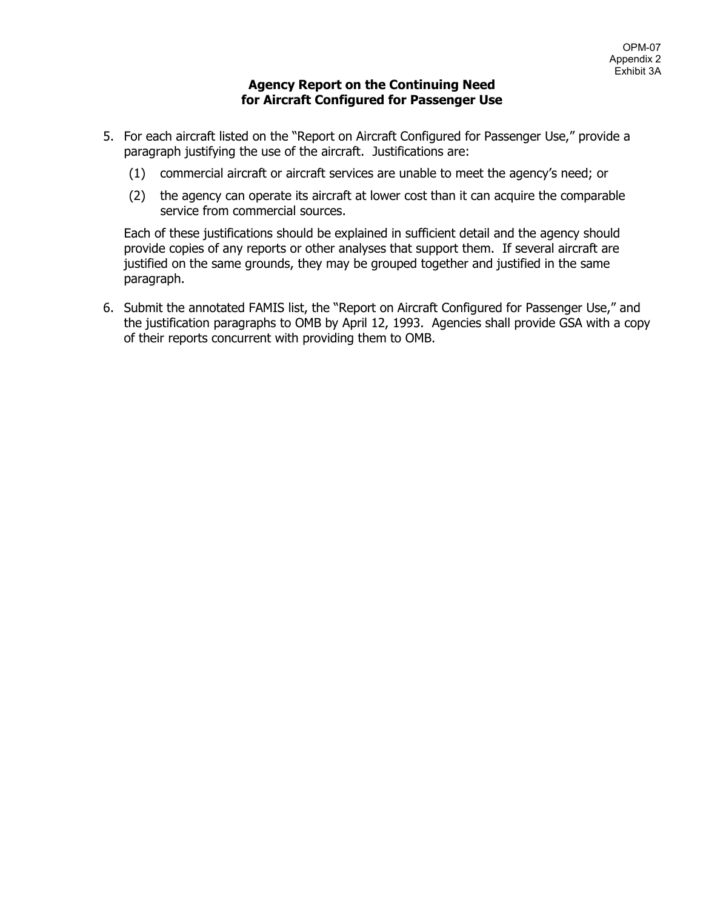## **Agency Report on the Continuing Need for Aircraft Configured for Passenger Use**

- 5. For each aircraft listed on the "Report on Aircraft Configured for Passenger Use," provide a paragraph justifying the use of the aircraft. Justifications are:
	- (1) commercial aircraft or aircraft services are unable to meet the agency's need; or
	- (2) the agency can operate its aircraft at lower cost than it can acquire the comparable service from commercial sources.

Each of these justifications should be explained in sufficient detail and the agency should provide copies of any reports or other analyses that support them. If several aircraft are justified on the same grounds, they may be grouped together and justified in the same paragraph.

6. Submit the annotated FAMIS list, the "Report on Aircraft Configured for Passenger Use," and the justification paragraphs to OMB by April 12, 1993. Agencies shall provide GSA with a copy of their reports concurrent with providing them to OMB.